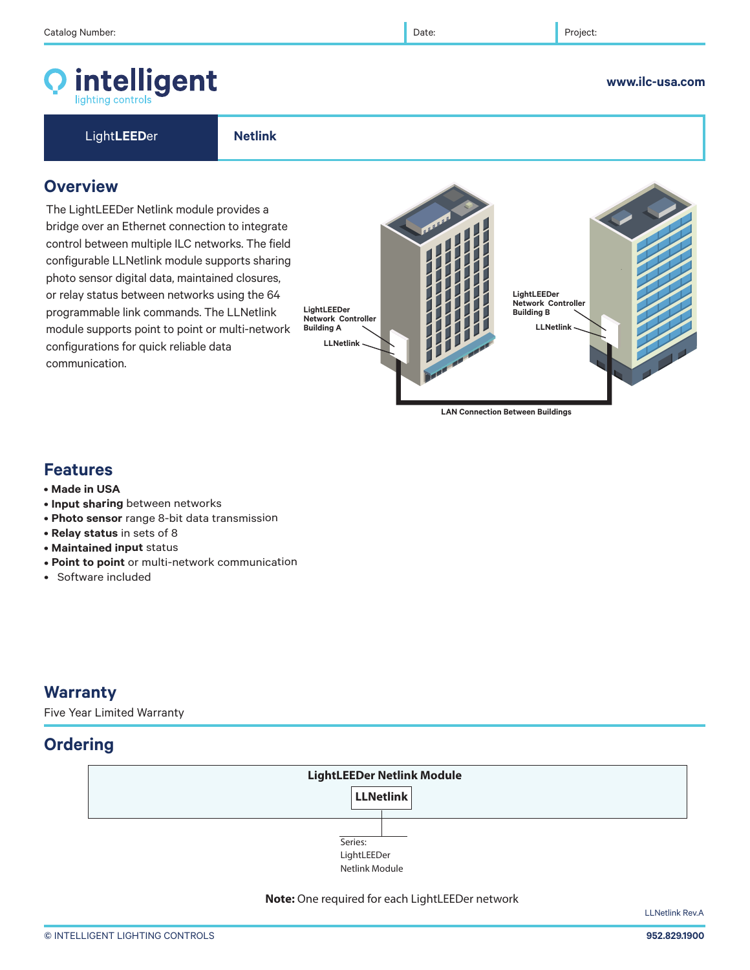**Overview**

© INTELLIGENT LIGHTING CONTROLS **952.829.1900** 

**Features**

communication.

• **Input sharing** between networks

configurations for quick reliable data

- **Photo sensor** range 8-bit data transmission
- **Relay status** in sets of 8
- **Maintained input** status
- **Point to point** or multi-network communication
- Software included

# **Warranty**

Five Year Limited Warranty

# **Ordering**



LLNetlink Rev.A





**LAN Connection Between Buildings**

#### **www.ilc-usa.com**

intelligent

bridge over an Ethernet connection to integrate control between multiple ILC networks. The field configurable LLNetlink module supports sharing photo sensor digital data, maintained closures, or relay status between networks using the 64 programmable link commands. The LLNetlink module supports point to point or multi-network